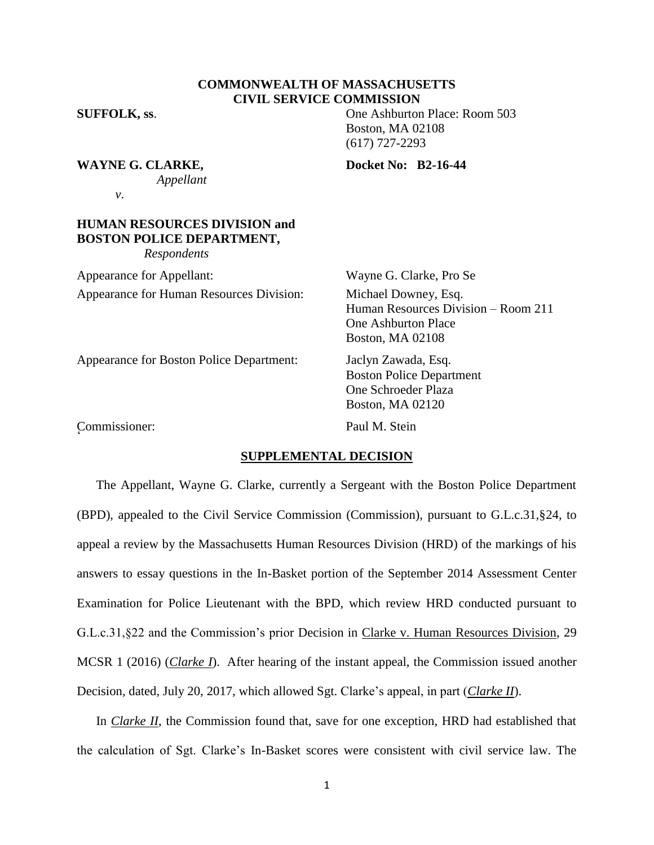## **COMMONWEALTH OF MASSACHUSETTS CIVIL SERVICE COMMISSION**

**SUFFOLK, ss**. One Ashburton Place: Room 503 Boston, MA 02108 (617) 727-2293

**WAYNE G. CLARKE.** Docket No: B2-16-44

*Appellant*

*v*.

# **HUMAN RESOURCES DIVISION and BOSTON POLICE DEPARTMENT,**

*Respondents*

Appearance for Appellant: Wayne G. Clarke, Pro Se Appearance for Human Resources Division: Michael Downey, Esq.

Human Resources Division – Room 211 One Ashburton Place Boston, MA 02108

Appearance for Boston Police Department: Jaclyn Zawada, Esq.

Boston Police Department One Schroeder Plaza Boston, MA 02120

Commissioner: Paul M. Stein r<br>C

#### **SUPPLEMENTAL DECISION**

The Appellant, Wayne G. Clarke, currently a Sergeant with the Boston Police Department (BPD), appealed to the Civil Service Commission (Commission), pursuant to G.L.c.31,§24, to appeal a review by the Massachusetts Human Resources Division (HRD) of the markings of his answers to essay questions in the In-Basket portion of the September 2014 Assessment Center Examination for Police Lieutenant with the BPD, which review HRD conducted pursuant to G.L.c.31,§22 and the Commission's prior Decision in Clarke v. Human Resources Division, 29 MCSR 1 (2016) (*Clarke I*). After hearing of the instant appeal, the Commission issued another Decision, dated, July 20, 2017, which allowed Sgt. Clarke's appeal, in part (*Clarke II*).

In *Clarke II*, the Commission found that, save for one exception, HRD had established that the calculation of Sgt. Clarke's In-Basket scores were consistent with civil service law. The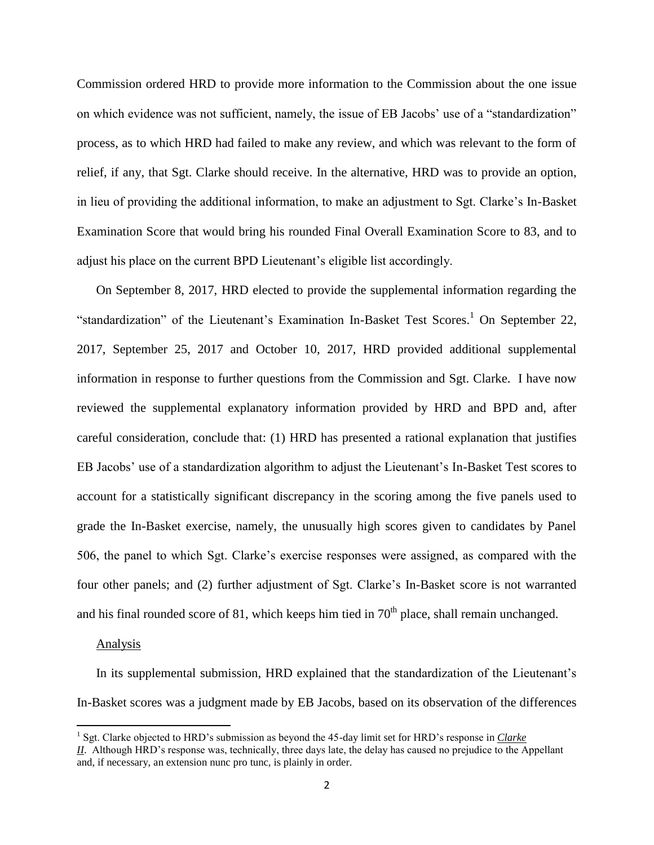Commission ordered HRD to provide more information to the Commission about the one issue on which evidence was not sufficient, namely, the issue of EB Jacobs' use of a "standardization" process, as to which HRD had failed to make any review, and which was relevant to the form of relief, if any, that Sgt. Clarke should receive. In the alternative, HRD was to provide an option, in lieu of providing the additional information, to make an adjustment to Sgt. Clarke's In-Basket Examination Score that would bring his rounded Final Overall Examination Score to 83, and to adjust his place on the current BPD Lieutenant's eligible list accordingly.

On September 8, 2017, HRD elected to provide the supplemental information regarding the "standardization" of the Lieutenant's Examination In-Basket Test Scores.<sup>1</sup> On September 22, 2017, September 25, 2017 and October 10, 2017, HRD provided additional supplemental information in response to further questions from the Commission and Sgt. Clarke. I have now reviewed the supplemental explanatory information provided by HRD and BPD and, after careful consideration, conclude that: (1) HRD has presented a rational explanation that justifies EB Jacobs' use of a standardization algorithm to adjust the Lieutenant's In-Basket Test scores to account for a statistically significant discrepancy in the scoring among the five panels used to grade the In-Basket exercise, namely, the unusually high scores given to candidates by Panel 506, the panel to which Sgt. Clarke's exercise responses were assigned, as compared with the four other panels; and (2) further adjustment of Sgt. Clarke's In-Basket score is not warranted and his final rounded score of 81, which keeps him tied in  $70<sup>th</sup>$  place, shall remain unchanged.

#### Analysis

 $\overline{\phantom{a}}$ 

In its supplemental submission, HRD explained that the standardization of the Lieutenant's In-Basket scores was a judgment made by EB Jacobs, based on its observation of the differences

<sup>&</sup>lt;sup>1</sup> Sgt. Clarke objected to HRD's submission as beyond the 45-day limit set for HRD's response in *Clarke II*. Although HRD's response was, technically, three days late, the delay has caused no prejudice to the Appellant and, if necessary, an extension nunc pro tunc, is plainly in order.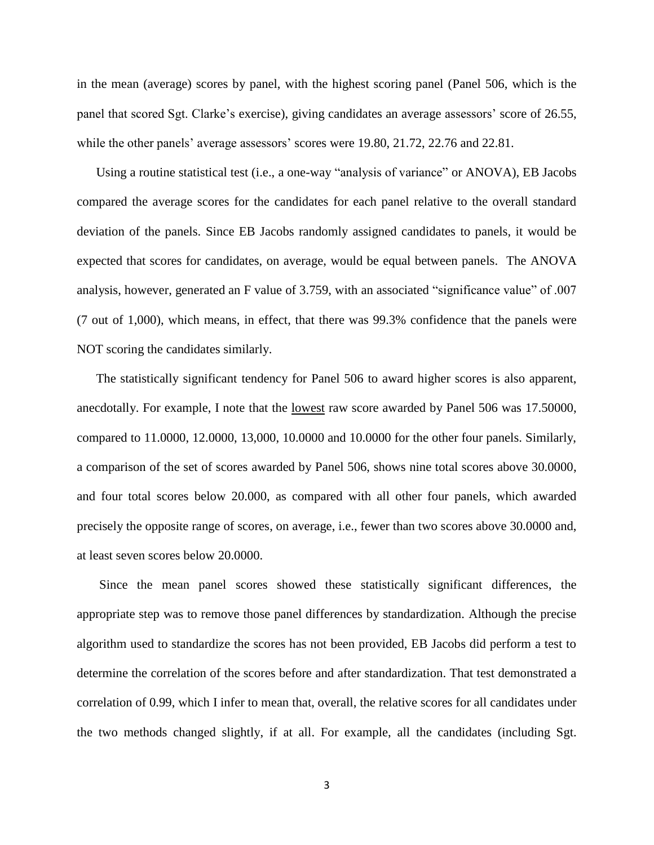in the mean (average) scores by panel, with the highest scoring panel (Panel 506, which is the panel that scored Sgt. Clarke's exercise), giving candidates an average assessors' score of 26.55, while the other panels' average assessors' scores were 19.80, 21.72, 22.76 and 22.81.

Using a routine statistical test (i.e., a one-way "analysis of variance" or ANOVA), EB Jacobs compared the average scores for the candidates for each panel relative to the overall standard deviation of the panels. Since EB Jacobs randomly assigned candidates to panels, it would be expected that scores for candidates, on average, would be equal between panels. The ANOVA analysis, however, generated an F value of 3.759, with an associated "significance value" of .007 (7 out of 1,000), which means, in effect, that there was 99.3% confidence that the panels were NOT scoring the candidates similarly.

The statistically significant tendency for Panel 506 to award higher scores is also apparent, anecdotally. For example, I note that the lowest raw score awarded by Panel 506 was 17.50000, compared to 11.0000, 12.0000, 13,000, 10.0000 and 10.0000 for the other four panels. Similarly, a comparison of the set of scores awarded by Panel 506, shows nine total scores above 30.0000, and four total scores below 20.000, as compared with all other four panels, which awarded precisely the opposite range of scores, on average, i.e., fewer than two scores above 30.0000 and, at least seven scores below 20.0000.

Since the mean panel scores showed these statistically significant differences, the appropriate step was to remove those panel differences by standardization. Although the precise algorithm used to standardize the scores has not been provided, EB Jacobs did perform a test to determine the correlation of the scores before and after standardization. That test demonstrated a correlation of 0.99, which I infer to mean that, overall, the relative scores for all candidates under the two methods changed slightly, if at all. For example, all the candidates (including Sgt.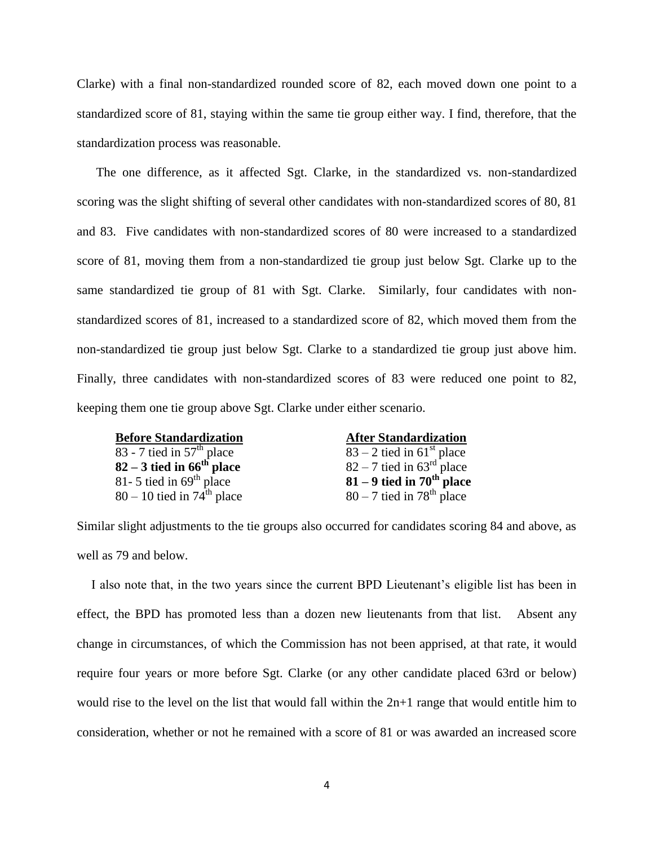Clarke) with a final non-standardized rounded score of 82, each moved down one point to a standardized score of 81, staying within the same tie group either way. I find, therefore, that the standardization process was reasonable.

The one difference, as it affected Sgt. Clarke, in the standardized vs. non-standardized scoring was the slight shifting of several other candidates with non-standardized scores of 80, 81 and 83. Five candidates with non-standardized scores of 80 were increased to a standardized score of 81, moving them from a non-standardized tie group just below Sgt. Clarke up to the same standardized tie group of 81 with Sgt. Clarke. Similarly, four candidates with nonstandardized scores of 81, increased to a standardized score of 82, which moved them from the non-standardized tie group just below Sgt. Clarke to a standardized tie group just above him. Finally, three candidates with non-standardized scores of 83 were reduced one point to 82, keeping them one tie group above Sgt. Clarke under either scenario.

**Before Standardization After Standardization** 83 - 7 tied in 57<sup>th</sup> place<br>
82 - 3 tied in 66<sup>th</sup> place<br>
82 - 7 tied in 63<sup>rd</sup> place **82 – 3 tied in 66<sup>th</sup> place**<br>81- 5 tied in 69<sup>th</sup> place  $80 - 10$  tied in  $74<sup>th</sup>$  place

**81 – 9 tied in 70<sup>th</sup> place**  $80 - 7$  tied in 78<sup>th</sup> place

Similar slight adjustments to the tie groups also occurred for candidates scoring 84 and above, as well as 79 and below.

I also note that, in the two years since the current BPD Lieutenant's eligible list has been in effect, the BPD has promoted less than a dozen new lieutenants from that list. Absent any change in circumstances, of which the Commission has not been apprised, at that rate, it would require four years or more before Sgt. Clarke (or any other candidate placed 63rd or below) would rise to the level on the list that would fall within the  $2n+1$  range that would entitle him to consideration, whether or not he remained with a score of 81 or was awarded an increased score